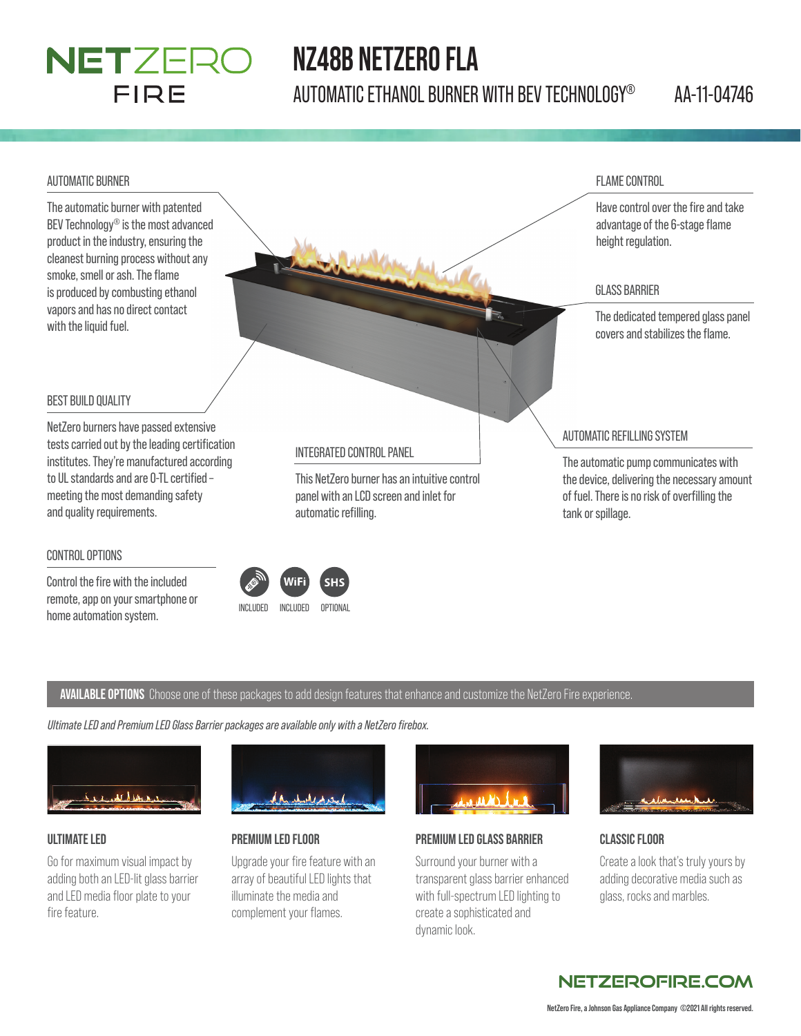### **NETZERO** FIRE

## **NZ48B NETZERO FLA**

AUTOMATIC ETHANOL BURNER WITH BEV TECHNOLOGY® AA-11-04746

#### AUTOMATIC BURNER

The automatic burner with patented BEV Technology® is the most advanced product in the industry, ensuring the cleanest burning process without any smoke, smell or ash. The flame is produced by combusting ethanol vapors and has no direct contact with the liquid fuel.

#### FLAME CONTROL

Have control over the fire and take advantage of the 6-stage flame height regulation.

#### GLASS BARRIER

The dedicated tempered glass panel covers and stabilizes the flame.

#### BEST BUILD QUALITY

NetZero burners have passed extensive tests carried out by the leading certification institutes. They're manufactured according to UL standards and are 0-TL certified meeting the most demanding safety and quality requirements.

#### CONTROL OPTIONS

Control the fire with the included remote, app on your smartphone or home automation system.<br>
INCLUDED INCLUDED OPTIONAL

#### INTEGRATED CONTROL PANEL

This NetZero burner has an intuitive control panel with an LCD screen and inlet for automatic refilling.

AUTOMATIC REFILLING SYSTEM

The automatic pump communicates with the device, delivering the necessary amount of fuel. There is no risk of overfilling the tank or spillage.

#### **AVAILABLE OPTIONS** Choose one of these packages to add design features that enhance and customize the NetZero Fire experience.

 $<sub>4</sub>$ </sub>

*Ultimate LED and Premium LED Glass Barrier packages are available only with a NetZero fi rebox.*



#### **ULTIMATE LED**

Go for maximum visual impact by adding both an LED-lit glass barrier and LED media floor plate to your fire feature.



### **PREMIUM LED FLOOR**

Upgrade your fire feature with an array of beautiful LED lights that illuminate the media and complement your flames.



#### **PREMIUM LED GLASS BARRIER**

Surround your burner with a transparent glass barrier enhanced with full-spectrum LED lighting to create a sophisticated and dynamic look.



#### **CLASSIC FLOOR**

Create a look that's truly yours by adding decorative media such as glass, rocks and marbles.